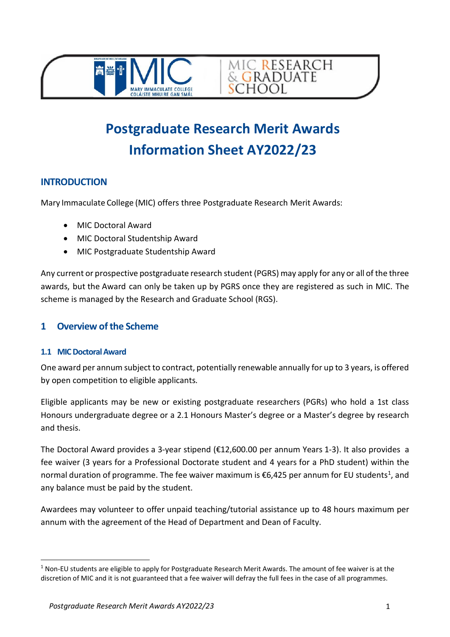



MIC RESEARCH<br>& GRADUATE

**SCHOOL** 

# **INTRODUCTION**

Mary Immaculate College (MIC) offers three Postgraduate Research Merit Awards:

- MIC Doctoral Award
- MIC Doctoral Studentship Award
- MIC Postgraduate Studentship Award

Any current or prospective postgraduate research student (PGRS) may apply for any or all of the three awards, but the Award can only be taken up by PGRS once they are registered as such in MIC. The scheme is managed by the Research and Graduate School (RGS).

### **1 Overview of the Scheme**

#### **1.1 MIC Doctoral Award**

One award per annum subject to contract, potentially renewable annually for up to 3 years, is offered by open competition to eligible applicants.

Eligible applicants may be new or existing postgraduate researchers (PGRs) who hold a 1st class Honours undergraduate degree or a 2.1 Honours Master's degree or a Master's degree by research and thesis.

The Doctoral Award provides a 3-year stipend (€12,600.00 per annum Years 1-3). It also provides a fee waiver (3 years for a Professional Doctorate student and 4 years for a PhD student) within the normal duration of programme. The fee waiver maximum is  $\epsilon$ 6,425 per annum for EU students<sup>1</sup>, and any balance must be paid by the student.

Awardees may volunteer to offer unpaid teaching/tutorial assistance up to 48 hours maximum per annum with the agreement of the Head of Department and Dean of Faculty.

<span id="page-0-0"></span> $1$  Non-EU students are eligible to apply for Postgraduate Research Merit Awards. The amount of fee waiver is at the discretion of MIC and it is not guaranteed that a fee waiver will defray the full fees in the case of all programmes.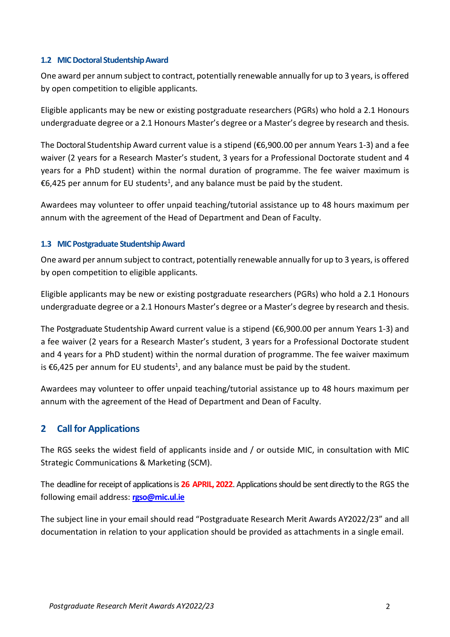#### **1.2 MIC Doctoral StudentshipAward**

One award per annum subject to contract, potentially renewable annually for up to 3 years, is offered by open competition to eligible applicants.

Eligible applicants may be new or existing postgraduate researchers (PGRs) who hold a 2.1 Honours undergraduate degree or a 2.1 Honours Master's degree or a Master's degree by research and thesis.

The Doctoral Studentship Award current value is a stipend (€6,900.00 per annum Years 1-3) and a fee waiver (2 years for a Research Master's student, 3 years for a Professional Doctorate student and 4 years for a PhD student) within the normal duration of programme. The fee waiver maximum is €6,425 per annum for EU students<sup>1</sup>, and any balance must be paid by the student.

Awardees may volunteer to offer unpaid teaching/tutorial assistance up to 48 hours maximum per annum with the agreement of the Head of Department and Dean of Faculty.

#### **1.3 MIC Postgraduate StudentshipAward**

One award per annum subject to contract, potentially renewable annually for up to 3 years, is offered by open competition to eligible applicants.

Eligible applicants may be new or existing postgraduate researchers (PGRs) who hold a 2.1 Honours undergraduate degree or a 2.1 Honours Master's degree or a Master's degree by research and thesis.

The Postgraduate Studentship Award current value is a stipend (€6,900.00 per annum Years 1-3) and a fee waiver (2 years for a Research Master's student, 3 years for a Professional Doctorate student and 4 years for a PhD student) within the normal duration of programme. The fee waiver maximum is €6,425 per annum for EU students<sup>1</sup>, and any balance must be paid by the student.

Awardees may volunteer to offer unpaid teaching/tutorial assistance up to 48 hours maximum per annum with the agreement of the Head of Department and Dean of Faculty.

### **2 Call for Applications**

The RGS seeks the widest field of applicants inside and / or outside MIC, in consultation with MIC Strategic Communications & Marketing (SCM).

The deadline for receipt of applications is **26 APRIL, 2022**. Applications should be sent directly to the RGS the following email address: **[rgso@mic.ul.ie](mailto:rgso@mic.ul.ie)**

The subject line in your email should read "Postgraduate Research Merit Awards AY2022/23" and all documentation in relation to your application should be provided as attachments in a single email.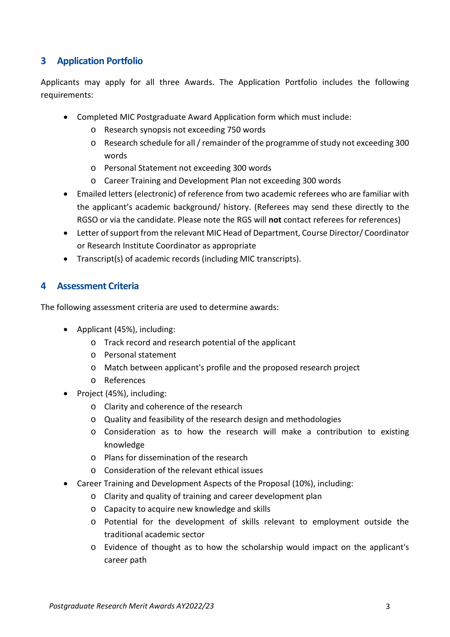# **3 Application Portfolio**

Applicants may apply for all three Awards. The Application Portfolio includes the following requirements:

- Completed MIC Postgraduate Award Application form which must include:
	- o Research synopsis not exceeding 750 words
	- o Research schedule for all / remainder of the programme of study not exceeding 300 words
	- o Personal Statement not exceeding 300 words
	- o Career Training and Development Plan not exceeding 300 words
- Emailed letters (electronic) of reference from two academic referees who are familiar with the applicant's academic background/ history. (Referees may send these directly to the RGSO or via the candidate. Please note the RGS will **not** contact referees for references)
- Letter of support from the relevant MIC Head of Department, Course Director/ Coordinator or Research Institute Coordinator as appropriate
- Transcript(s) of academic records (including MIC transcripts).

### **4 Assessment Criteria**

The following assessment criteria are used to determine awards:

- Applicant (45%), including:
	- o Track record and research potential of the applicant
	- o Personal statement
	- o Match between applicant's profile and the proposed research project
	- o References
- Project (45%), including:
	- o Clarity and coherence of the research
	- o Quality and feasibility of the research design and methodologies
	- o Consideration as to how the research will make a contribution to existing knowledge
	- o Plans for dissemination of the research
	- o Consideration of the relevant ethical issues
- Career Training and Development Aspects of the Proposal (10%), including:
	- o Clarity and quality of training and career development plan
	- o Capacity to acquire new knowledge and skills
	- o Potential for the development of skills relevant to employment outside the traditional academic sector
	- o Evidence of thought as to how the scholarship would impact on the applicant's career path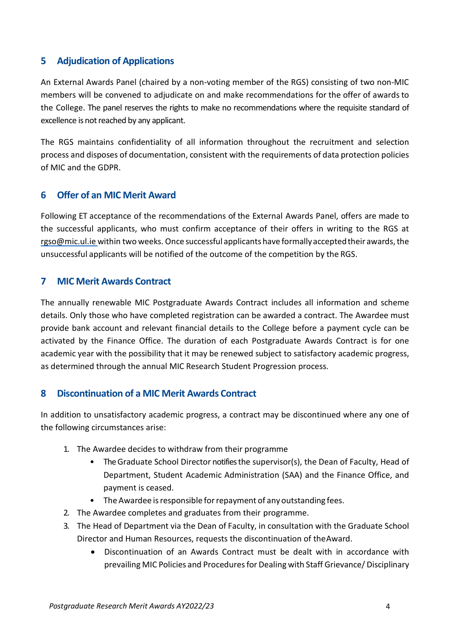# **5 Adjudication of Applications**

An External Awards Panel (chaired by a non-voting member of the RGS) consisting of two non-MIC members will be convened to adjudicate on and make recommendations for the offer of awards to the College. The panel reserves the rights to make no recommendations where the requisite standard of excellence is not reached by any applicant.

The RGS maintains confidentiality of all information throughout the recruitment and selection process and disposes of documentation, consistent with the requirements of data protection policies of MIC and the GDPR.

### **6 Offer of an MIC Merit Award**

Following ET acceptance of the recommendations of the External Awards Panel, offers are made to the successful applicants, who must confirm acceptance of their offers in writing to the RGS at [rgso@mic.ul.ie w](mailto:rgso@mic.ul.ie)ithin two weeks. Once successful applicants have formally accepted their awards, the unsuccessful applicants will be notified of the outcome of the competition by the RGS.

#### **7 MIC Merit Awards Contract**

The annually renewable MIC Postgraduate Awards Contract includes all information and scheme details. Only those who have completed registration can be awarded a contract. The Awardee must provide bank account and relevant financial details to the College before a payment cycle can be activated by the Finance Office. The duration of each Postgraduate Awards Contract is for one academic year with the possibility that it may be renewed subject to satisfactory academic progress, as determined through the annual MIC Research Student Progression process.

### **8 Discontinuation of a MIC Merit Awards Contract**

In addition to unsatisfactory academic progress, a contract may be discontinued where any one of the following circumstances arise:

- 1. The Awardee decides to withdraw from their programme
	- The Graduate School Director notifies the supervisor(s), the Dean of Faculty, Head of Department, Student Academic Administration (SAA) and the Finance Office, and payment is ceased.
	- The Awardee is responsible for repayment of any outstanding fees.
- 2. The Awardee completes and graduates from their programme.
- 3. The Head of Department via the Dean of Faculty, in consultation with the Graduate School Director and Human Resources, requests the discontinuation of theAward.
	- Discontinuation of an Awards Contract must be dealt with in accordance with prevailing MIC Policies and Procedures for Dealing with Staff Grievance/ Disciplinary